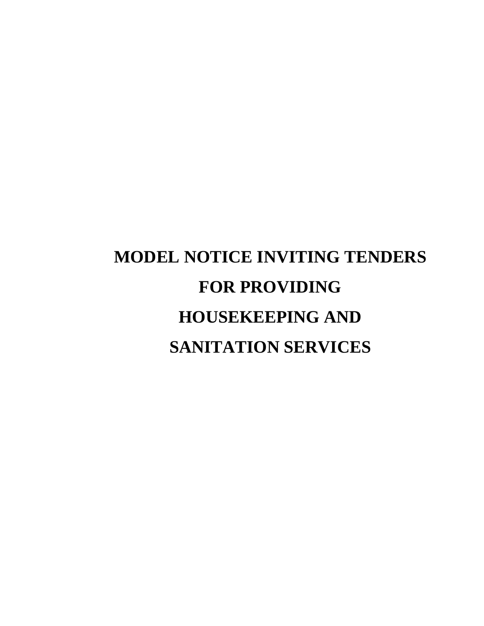# **MODEL NOTICE INVITING TENDERS FOR PROVIDING HOUSEKEEPING AND SANITATION SERVICES**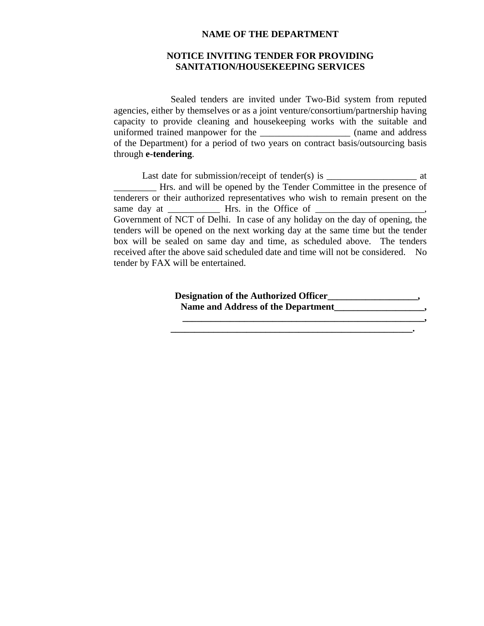#### **NAME OF THE DEPARTMENT**

#### **NOTICE INVITING TENDER FOR PROVIDING SANITATION/HOUSEKEEPING SERVICES**

 Sealed tenders are invited under Two-Bid system from reputed agencies, either by themselves or as a joint venture/consortium/partnership having capacity to provide cleaning and housekeeping works with the suitable and uniformed trained manpower for the \_\_\_\_\_\_\_\_\_\_\_\_\_\_\_\_\_\_\_ (name and address of the Department) for a period of two years on contract basis/outsourcing basis through **e-tendering**.

Last date for submission/receipt of tender(s) is  $\frac{1}{\sqrt{1-\frac{1}{n}}}\$  at \_\_\_\_\_\_\_\_\_ Hrs. and will be opened by the Tender Committee in the presence of tenderers or their authorized representatives who wish to remain present on the same day at \_\_\_\_\_\_\_\_\_\_\_ Hrs. in the Office of \_\_\_\_\_\_\_\_\_\_\_\_\_\_\_\_\_\_\_\_\_\_\_, Government of NCT of Delhi. In case of any holiday on the day of opening, the tenders will be opened on the next working day at the same time but the tender box will be sealed on same day and time, as scheduled above. The tenders received after the above said scheduled date and time will not be considered. No tender by FAX will be entertained.

> **Designation of the Authorized Officer\_\_\_\_\_\_\_\_\_\_\_\_\_\_\_\_\_\_\_,**  Name and Address of the Department<br>  $\frac{1}{2}$

> > $\mathcal{L} = \{ \mathcal{L} = \{ \mathcal{L} \} \cup \{ \mathcal{L} = \{ \mathcal{L} \} \cup \{ \mathcal{L} = \{ \mathcal{L} \} \cup \{ \mathcal{L} = \{ \mathcal{L} \} \} \cup \{ \mathcal{L} = \{ \mathcal{L} \} \cup \{ \mathcal{L} = \{ \mathcal{L} \} \cup \{ \mathcal{L} = \{ \mathcal{L} \} \} \cup \{ \mathcal{L} = \{ \mathcal{L} \} \cup \{ \mathcal{L} = \{ \mathcal{L} \} \cup \{ \mathcal{L} = \{ \mathcal{L} \} \$

 $\blacksquare$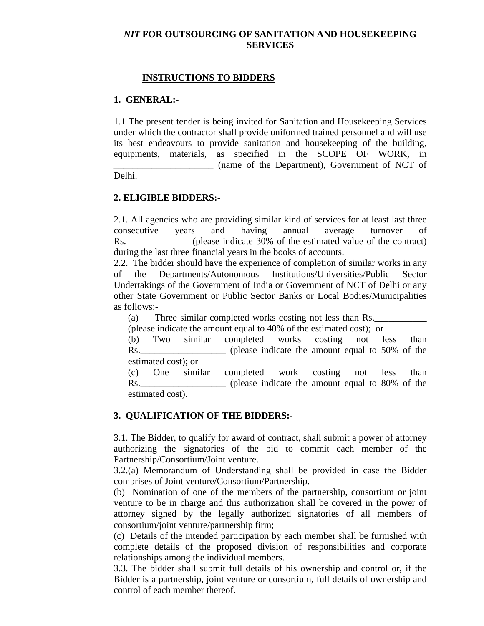#### *NIT* **FOR OUTSOURCING OF SANITATION AND HOUSEKEEPING SERVICES**

#### **INSTRUCTIONS TO BIDDERS**

#### **1. GENERAL:-**

1.1 The present tender is being invited for Sanitation and Housekeeping Services under which the contractor shall provide uniformed trained personnel and will use its best endeavours to provide sanitation and housekeeping of the building, equipments, materials, as specified in the SCOPE OF WORK, in \_\_\_\_\_\_\_\_\_\_\_\_\_\_\_\_\_\_\_\_\_ (name of the Department), Government of NCT of Delhi.

#### **2. ELIGIBLE BIDDERS:-**

2.1. All agencies who are providing similar kind of services for at least last three consecutive years and having annual average turnover of Rs. (please indicate 30% of the estimated value of the contract) during the last three financial years in the books of accounts.

2.2. The bidder should have the experience of completion of similar works in any of the Departments/Autonomous Institutions/Universities/Public Sector Undertakings of the Government of India or Government of NCT of Delhi or any other State Government or Public Sector Banks or Local Bodies/Municipalities as follows:-

(a) Three similar completed works costing not less than Rs.

(please indicate the amount equal to 40% of the estimated cost); or

(b) Two similar completed works costing not less than Rs. (please indicate the amount equal to 50% of the estimated cost); or

(c) One similar completed work costing not less than Rs. (please indicate the amount equal to 80% of the estimated cost).

#### **3. QUALIFICATION OF THE BIDDERS:-**

3.1. The Bidder, to qualify for award of contract, shall submit a power of attorney authorizing the signatories of the bid to commit each member of the Partnership/Consortium/Joint venture.

3.2.(a) Memorandum of Understanding shall be provided in case the Bidder comprises of Joint venture/Consortium/Partnership.

(b) Nomination of one of the members of the partnership, consortium or joint venture to be in charge and this authorization shall be covered in the power of attorney signed by the legally authorized signatories of all members of consortium/joint venture/partnership firm;

(c) Details of the intended participation by each member shall be furnished with complete details of the proposed division of responsibilities and corporate relationships among the individual members.

3.3. The bidder shall submit full details of his ownership and control or, if the Bidder is a partnership, joint venture or consortium, full details of ownership and control of each member thereof.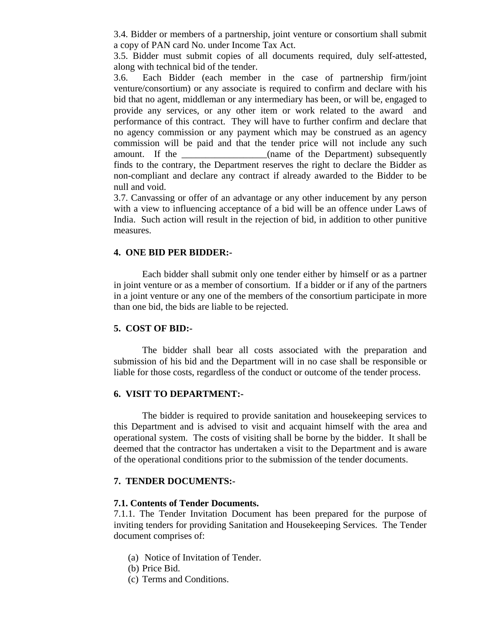3.4. Bidder or members of a partnership, joint venture or consortium shall submit a copy of PAN card No. under Income Tax Act.

3.5. Bidder must submit copies of all documents required, duly self-attested, along with technical bid of the tender.

3.6. Each Bidder (each member in the case of partnership firm/joint venture/consortium) or any associate is required to confirm and declare with his bid that no agent, middleman or any intermediary has been, or will be, engaged to provide any services, or any other item or work related to the award and performance of this contract. They will have to further confirm and declare that no agency commission or any payment which may be construed as an agency commission will be paid and that the tender price will not include any such amount. If the the case of the Department) subsequently finds to the contrary, the Department reserves the right to declare the Bidder as non-compliant and declare any contract if already awarded to the Bidder to be null and void.

3.7. Canvassing or offer of an advantage or any other inducement by any person with a view to influencing acceptance of a bid will be an offence under Laws of India. Such action will result in the rejection of bid, in addition to other punitive measures.

#### **4. ONE BID PER BIDDER:-**

 Each bidder shall submit only one tender either by himself or as a partner in joint venture or as a member of consortium. If a bidder or if any of the partners in a joint venture or any one of the members of the consortium participate in more than one bid, the bids are liable to be rejected.

#### **5. COST OF BID:-**

 The bidder shall bear all costs associated with the preparation and submission of his bid and the Department will in no case shall be responsible or liable for those costs, regardless of the conduct or outcome of the tender process.

#### **6. VISIT TO DEPARTMENT:-**

The bidder is required to provide sanitation and housekeeping services to this Department and is advised to visit and acquaint himself with the area and operational system. The costs of visiting shall be borne by the bidder. It shall be deemed that the contractor has undertaken a visit to the Department and is aware of the operational conditions prior to the submission of the tender documents.

#### **7. TENDER DOCUMENTS:-**

#### **7.1. Contents of Tender Documents.**

7.1.1. The Tender Invitation Document has been prepared for the purpose of inviting tenders for providing Sanitation and Housekeeping Services. The Tender document comprises of:

- (a) Notice of Invitation of Tender.
- (b) Price Bid.
- (c) Terms and Conditions.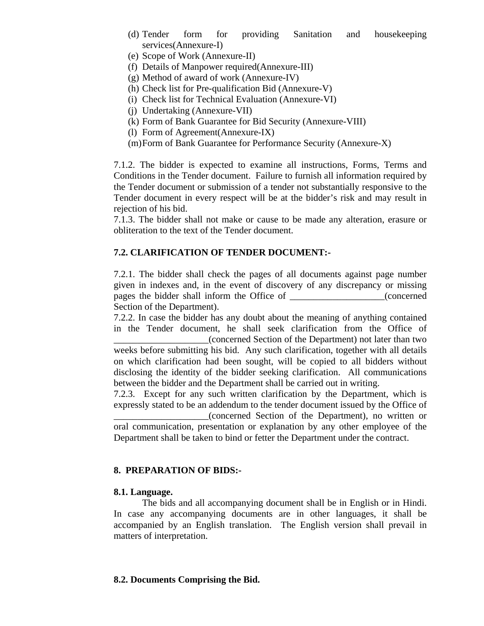- (d) Tender form for providing Sanitation and housekeeping services(Annexure-I)
- (e) Scope of Work (Annexure-II)
- (f) Details of Manpower required(Annexure-III)
- (g) Method of award of work (Annexure-IV)
- (h) Check list for Pre-qualification Bid (Annexure-V)
- (i) Check list for Technical Evaluation (Annexure-VI)
- (j) Undertaking (Annexure-VII)
- (k) Form of Bank Guarantee for Bid Security (Annexure-VIII)
- (l) Form of Agreement(Annexure-IX)
- (m)Form of Bank Guarantee for Performance Security (Annexure-X)

7.1.2. The bidder is expected to examine all instructions, Forms, Terms and Conditions in the Tender document. Failure to furnish all information required by the Tender document or submission of a tender not substantially responsive to the Tender document in every respect will be at the bidder's risk and may result in rejection of his bid.

7.1.3. The bidder shall not make or cause to be made any alteration, erasure or obliteration to the text of the Tender document.

#### **7.2. CLARIFICATION OF TENDER DOCUMENT:-**

7.2.1. The bidder shall check the pages of all documents against page number given in indexes and, in the event of discovery of any discrepancy or missing pages the bidder shall inform the Office of \_\_\_\_\_\_\_\_\_\_\_\_\_\_\_\_\_\_\_\_(concerned Section of the Department).

7.2.2. In case the bidder has any doubt about the meaning of anything contained in the Tender document, he shall seek clarification from the Office of \_\_\_\_\_\_\_\_\_\_\_\_\_\_\_\_\_\_\_\_(concerned Section of the Department) not later than two

weeks before submitting his bid. Any such clarification, together with all details on which clarification had been sought, will be copied to all bidders without disclosing the identity of the bidder seeking clarification. All communications between the bidder and the Department shall be carried out in writing.

7.2.3. Except for any such written clarification by the Department, which is expressly stated to be an addendum to the tender document issued by the Office of

\_\_\_\_\_\_\_\_\_\_\_\_\_\_\_\_\_\_\_\_(concerned Section of the Department), no written or oral communication, presentation or explanation by any other employee of the Department shall be taken to bind or fetter the Department under the contract.

#### **8. PREPARATION OF BIDS:-**

#### **8.1. Language.**

The bids and all accompanying document shall be in English or in Hindi. In case any accompanying documents are in other languages, it shall be accompanied by an English translation. The English version shall prevail in matters of interpretation.

#### **8.2. Documents Comprising the Bid.**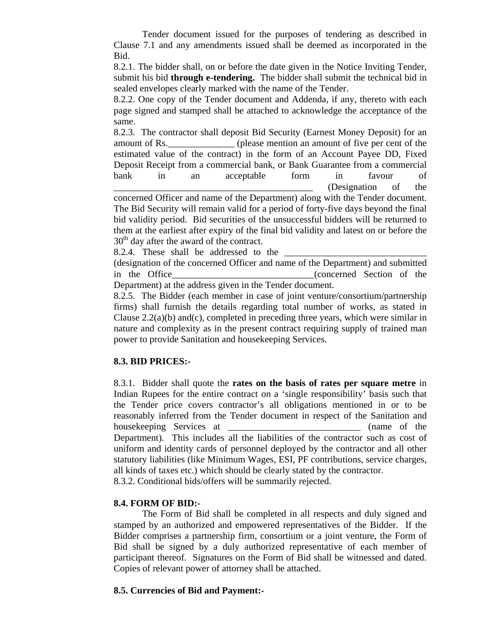Tender document issued for the purposes of tendering as described in Clause 7.1 and any amendments issued shall be deemed as incorporated in the Bid.

8.2.1. The bidder shall, on or before the date given in the Notice Inviting Tender, submit his bid **through e-tendering.** The bidder shall submit the technical bid in sealed envelopes clearly marked with the name of the Tender.

8.2.2. One copy of the Tender document and Addenda, if any, thereto with each page signed and stamped shall be attached to acknowledge the acceptance of the same.

8.2.3. The contractor shall deposit Bid Security (Earnest Money Deposit) for an amount of Rs.\_\_\_\_\_\_\_\_\_\_\_\_\_\_ (please mention an amount of five per cent of the estimated value of the contract) in the form of an Account Payee DD, Fixed Deposit Receipt from a commercial bank, or Bank Guarantee from a commercial bank in an acceptable form in favour of \_\_\_\_\_\_\_\_\_\_\_\_\_\_\_\_\_\_\_\_\_\_\_\_\_\_\_\_\_\_\_\_\_\_\_\_\_\_\_\_\_\_ (Designation of the

concerned Officer and name of the Department) along with the Tender document. The Bid Security will remain valid for a period of forty-five days beyond the final bid validity period. Bid securities of the unsuccessful bidders will be returned to them at the earliest after expiry of the final bid validity and latest on or before the  $30<sup>th</sup>$  day after the award of the contract.

8.2.4. These shall be addressed to the

(designation of the concerned Officer and name of the Department) and submitted in the Office\_\_\_\_\_\_\_\_\_\_\_\_\_\_\_\_\_\_\_\_\_\_\_\_\_\_\_\_\_\_(concerned Section of the Department) at the address given in the Tender document.

8.2.5. The Bidder (each member in case of joint venture/consortium/partnership firms) shall furnish the details regarding total number of works, as stated in Clause  $2.2(a)(b)$  and(c), completed in preceding three years, which were similar in nature and complexity as in the present contract requiring supply of trained man power to provide Sanitation and housekeeping Services.

#### **8.3. BID PRICES:-**

8.3.1. Bidder shall quote the **rates on the basis of rates per square metre** in Indian Rupees for the entire contract on a 'single responsibility' basis such that the Tender price covers contractor's all obligations mentioned in or to be reasonably inferred from the Tender document in respect of the Sanitation and house keeping Services at the contract of the contract of the contract of the contract of the contract of the contract of the contract of the contract of the contract of the contract of the contract of the contract of the Department). This includes all the liabilities of the contractor such as cost of uniform and identity cards of personnel deployed by the contractor and all other statutory liabilities (like Minimum Wages, ESI, PF contributions, service charges, all kinds of taxes etc.) which should be clearly stated by the contractor. 8.3.2. Conditional bids/offers will be summarily rejected.

#### **8.4. FORM OF BID:-**

 The Form of Bid shall be completed in all respects and duly signed and stamped by an authorized and empowered representatives of the Bidder. If the Bidder comprises a partnership firm, consortium or a joint venture, the Form of Bid shall be signed by a duly authorized representative of each member of participant thereof. Signatures on the Form of Bid shall be witnessed and dated. Copies of relevant power of attorney shall be attached.

#### **8.5. Currencies of Bid and Payment:-**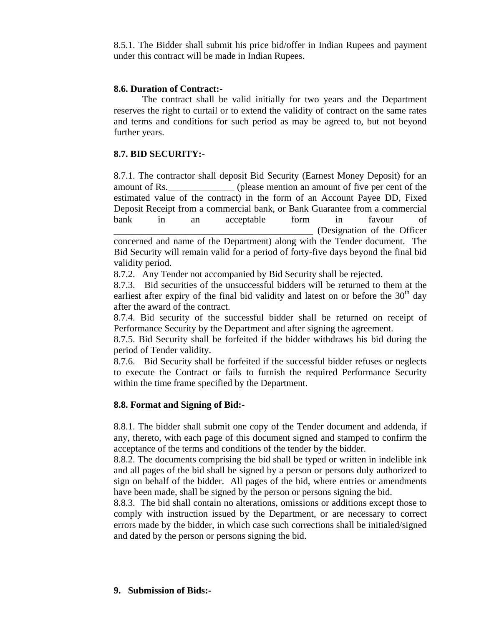8.5.1. The Bidder shall submit his price bid/offer in Indian Rupees and payment under this contract will be made in Indian Rupees.

#### **8.6. Duration of Contract:-**

The contract shall be valid initially for two years and the Department reserves the right to curtail or to extend the validity of contract on the same rates and terms and conditions for such period as may be agreed to, but not beyond further years.

#### **8.7. BID SECURITY:-**

8.7.1. The contractor shall deposit Bid Security (Earnest Money Deposit) for an amount of Rs.\_\_\_\_\_\_\_\_\_\_\_\_\_\_ (please mention an amount of five per cent of the estimated value of the contract) in the form of an Account Payee DD, Fixed Deposit Receipt from a commercial bank, or Bank Guarantee from a commercial bank in an acceptable form in favour of \_\_\_\_\_\_\_\_\_\_\_\_\_\_\_\_\_\_\_\_\_\_\_\_\_\_\_\_\_\_\_\_\_\_\_\_\_\_\_\_\_\_ (Designation of the Officer concerned and name of the Department) along with the Tender document. The Bid Security will remain valid for a period of forty-five days beyond the final bid validity period.

8.7.2. Any Tender not accompanied by Bid Security shall be rejected.

8.7.3. Bid securities of the unsuccessful bidders will be returned to them at the earliest after expiry of the final bid validity and latest on or before the  $30<sup>th</sup>$  day after the award of the contract.

8.7.4. Bid security of the successful bidder shall be returned on receipt of Performance Security by the Department and after signing the agreement.

8.7.5. Bid Security shall be forfeited if the bidder withdraws his bid during the period of Tender validity.

8.7.6. Bid Security shall be forfeited if the successful bidder refuses or neglects to execute the Contract or fails to furnish the required Performance Security within the time frame specified by the Department.

#### **8.8. Format and Signing of Bid:-**

8.8.1. The bidder shall submit one copy of the Tender document and addenda, if any, thereto, with each page of this document signed and stamped to confirm the acceptance of the terms and conditions of the tender by the bidder.

8.8.2. The documents comprising the bid shall be typed or written in indelible ink and all pages of the bid shall be signed by a person or persons duly authorized to sign on behalf of the bidder. All pages of the bid, where entries or amendments have been made, shall be signed by the person or persons signing the bid.

8.8.3. The bid shall contain no alterations, omissions or additions except those to comply with instruction issued by the Department, or are necessary to correct errors made by the bidder, in which case such corrections shall be initialed/signed and dated by the person or persons signing the bid.

#### **9. Submission of Bids:-**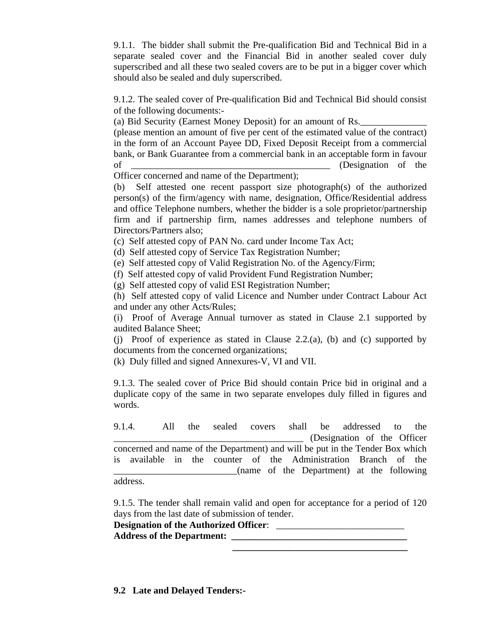9.1.1. The bidder shall submit the Pre-qualification Bid and Technical Bid in a separate sealed cover and the Financial Bid in another sealed cover duly superscribed and all these two sealed covers are to be put in a bigger cover which should also be sealed and duly superscribed.

9.1.2. The sealed cover of Pre-qualification Bid and Technical Bid should consist of the following documents:-

(a) Bid Security (Earnest Money Deposit) for an amount of Rs.

(please mention an amount of five per cent of the estimated value of the contract) in the form of an Account Payee DD, Fixed Deposit Receipt from a commercial bank, or Bank Guarantee from a commercial bank in an acceptable form in favour of \_\_\_\_\_\_\_\_\_\_\_\_\_\_\_\_\_\_\_\_\_\_\_\_\_\_\_\_\_\_\_\_\_\_\_\_\_\_\_\_\_\_ (Designation of the

Officer concerned and name of the Department);

(b) Self attested one recent passport size photograph(s) of the authorized person(s) of the firm/agency with name, designation, Office/Residential address and office Telephone numbers, whether the bidder is a sole proprietor/partnership firm and if partnership firm, names addresses and telephone numbers of Directors/Partners also;

(c) Self attested copy of PAN No. card under Income Tax Act;

(d) Self attested copy of Service Tax Registration Number;

(e) Self attested copy of Valid Registration No. of the Agency/Firm;

(f) Self attested copy of valid Provident Fund Registration Number;

(g) Self attested copy of valid ESI Registration Number;

(h) Self attested copy of valid Licence and Number under Contract Labour Act and under any other Acts/Rules;

(i) Proof of Average Annual turnover as stated in Clause 2.1 supported by audited Balance Sheet;

(j) Proof of experience as stated in Clause 2.2.(a), (b) and (c) supported by documents from the concerned organizations;

(k) Duly filled and signed Annexures-V, VI and VII.

9.1.3. The sealed cover of Price Bid should contain Price bid in original and a duplicate copy of the same in two separate envelopes duly filled in figures and words.

9.1.4. All the sealed covers shall be addressed to the \_\_\_\_\_\_\_\_\_\_\_\_\_\_\_\_\_\_\_\_\_\_\_\_\_\_\_\_\_\_\_\_\_\_\_\_\_\_\_\_ (Designation of the Officer concerned and name of the Department) and will be put in the Tender Box which is available in the counter of the Administration Branch of the \_\_\_\_\_\_\_\_\_\_\_\_\_\_\_\_\_\_\_\_\_\_\_\_\_\_(name of the Department) at the following

address.

9.1.5. The tender shall remain valid and open for acceptance for a period of 120 days from the last date of submission of tender.

 **\_\_\_\_\_\_\_\_\_\_\_\_\_\_\_\_\_\_\_\_\_\_\_\_\_\_\_\_\_\_\_\_\_\_\_\_\_** 

**Designation of the Authorized Officer:** Address of the Department: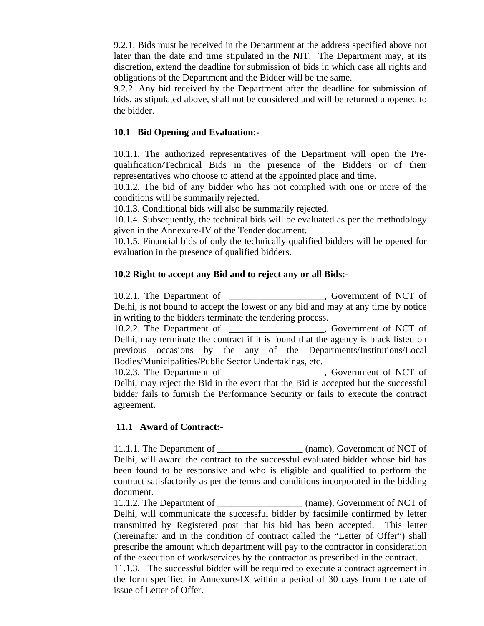9.2.1. Bids must be received in the Department at the address specified above not later than the date and time stipulated in the NIT. The Department may, at its discretion, extend the deadline for submission of bids in which case all rights and obligations of the Department and the Bidder will be the same.

9.2.2. Any bid received by the Department after the deadline for submission of bids, as stipulated above, shall not be considered and will be returned unopened to the bidder.

#### **10.1 Bid Opening and Evaluation:-**

10.1.1. The authorized representatives of the Department will open the Prequalification/Technical Bids in the presence of the Bidders or of their representatives who choose to attend at the appointed place and time.

10.1.2. The bid of any bidder who has not complied with one or more of the conditions will be summarily rejected.

10.1.3. Conditional bids will also be summarily rejected.

10.1.4. Subsequently, the technical bids will be evaluated as per the methodology given in the Annexure-IV of the Tender document.

10.1.5. Financial bids of only the technically qualified bidders will be opened for evaluation in the presence of qualified bidders.

#### **10.2 Right to accept any Bid and to reject any or all Bids:-**

10.2.1. The Department of \_\_\_\_\_\_\_\_\_\_\_\_\_\_\_\_\_\_\_\_, Government of NCT of Delhi, is not bound to accept the lowest or any bid and may at any time by notice in writing to the bidders terminate the tendering process. 10.2.2. The Department of \_\_\_\_\_\_\_\_\_\_\_\_\_\_\_\_\_\_\_\_, Government of NCT of Delhi, may terminate the contract if it is found that the agency is black listed on previous occasions by the any of the Departments/Institutions/Local Bodies/Municipalities/Public Sector Undertakings, etc. 10.2.3. The Department of \_\_\_\_\_\_\_\_\_\_\_\_\_\_\_\_\_\_\_\_, Government of NCT of Delhi, may reject the Bid in the event that the Bid is accepted but the successful bidder fails to furnish the Performance Security or fails to execute the contract agreement.

#### **11.1 Award of Contract:-**

11.1.1. The Department of  $(name)$ , Government of NCT of Delhi, will award the contract to the successful evaluated bidder whose bid has been found to be responsive and who is eligible and qualified to perform the contract satisfactorily as per the terms and conditions incorporated in the bidding document.

11.1.2. The Department of \_\_\_\_\_\_\_\_\_\_\_\_\_\_\_\_\_\_ (name), Government of NCT of Delhi, will communicate the successful bidder by facsimile confirmed by letter transmitted by Registered post that his bid has been accepted. This letter (hereinafter and in the condition of contract called the "Letter of Offer") shall prescribe the amount which department will pay to the contractor in consideration of the execution of work/services by the contractor as prescribed in the contract.

11.1.3. The successful bidder will be required to execute a contract agreement in the form specified in Annexure-IX within a period of 30 days from the date of issue of Letter of Offer.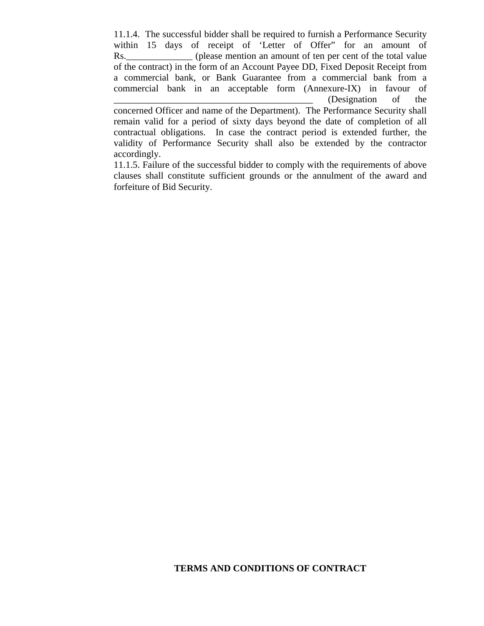11.1.4. The successful bidder shall be required to furnish a Performance Security within 15 days of receipt of 'Letter of Offer" for an amount of Rs. (please mention an amount of ten per cent of the total value of the contract) in the form of an Account Payee DD, Fixed Deposit Receipt from a commercial bank, or Bank Guarantee from a commercial bank from a commercial bank in an acceptable form (Annexure-IX) in favour of \_\_\_\_\_\_\_\_\_\_\_\_\_\_\_\_\_\_\_\_\_\_\_\_\_\_\_\_\_\_\_\_\_\_\_\_\_\_\_\_\_\_ (Designation of the concerned Officer and name of the Department). The Performance Security shall remain valid for a period of sixty days beyond the date of completion of all contractual obligations. In case the contract period is extended further, the validity of Performance Security shall also be extended by the contractor accordingly.

11.1.5. Failure of the successful bidder to comply with the requirements of above clauses shall constitute sufficient grounds or the annulment of the award and forfeiture of Bid Security.

#### **TERMS AND CONDITIONS OF CONTRACT**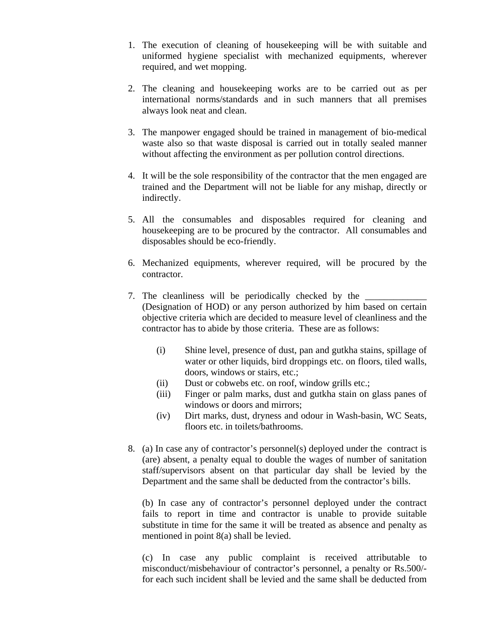- 1. The execution of cleaning of housekeeping will be with suitable and uniformed hygiene specialist with mechanized equipments, wherever required, and wet mopping.
- 2. The cleaning and housekeeping works are to be carried out as per international norms/standards and in such manners that all premises always look neat and clean.
- 3. The manpower engaged should be trained in management of bio-medical waste also so that waste disposal is carried out in totally sealed manner without affecting the environment as per pollution control directions.
- 4. It will be the sole responsibility of the contractor that the men engaged are trained and the Department will not be liable for any mishap, directly or indirectly.
- 5. All the consumables and disposables required for cleaning and housekeeping are to be procured by the contractor. All consumables and disposables should be eco-friendly.
- 6. Mechanized equipments, wherever required, will be procured by the contractor.
- 7. The cleanliness will be periodically checked by the (Designation of HOD) or any person authorized by him based on certain objective criteria which are decided to measure level of cleanliness and the contractor has to abide by those criteria. These are as follows:
	- (i) Shine level, presence of dust, pan and gutkha stains, spillage of water or other liquids, bird droppings etc. on floors, tiled walls, doors, windows or stairs, etc.;
	- (ii) Dust or cobwebs etc. on roof, window grills etc.;
	- (iii) Finger or palm marks, dust and gutkha stain on glass panes of windows or doors and mirrors;
	- (iv) Dirt marks, dust, dryness and odour in Wash-basin, WC Seats, floors etc. in toilets/bathrooms.
- 8. (a) In case any of contractor's personnel(s) deployed under the contract is (are) absent, a penalty equal to double the wages of number of sanitation staff/supervisors absent on that particular day shall be levied by the Department and the same shall be deducted from the contractor's bills.

(b) In case any of contractor's personnel deployed under the contract fails to report in time and contractor is unable to provide suitable substitute in time for the same it will be treated as absence and penalty as mentioned in point 8(a) shall be levied.

(c) In case any public complaint is received attributable to misconduct/misbehaviour of contractor's personnel, a penalty or Rs.500/ for each such incident shall be levied and the same shall be deducted from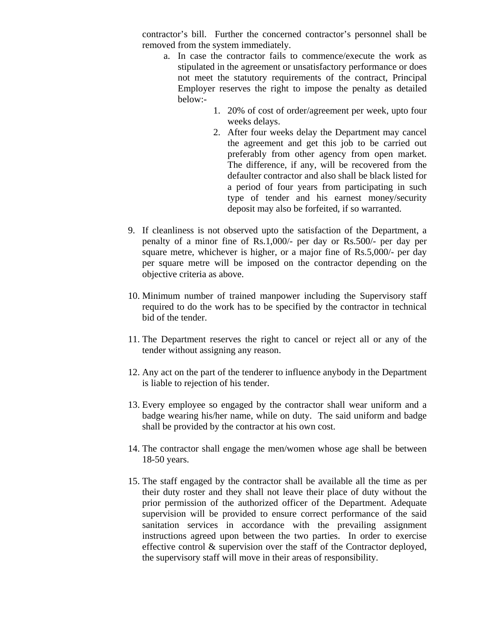contractor's bill. Further the concerned contractor's personnel shall be removed from the system immediately.

- a. In case the contractor fails to commence/execute the work as stipulated in the agreement or unsatisfactory performance or does not meet the statutory requirements of the contract, Principal Employer reserves the right to impose the penalty as detailed below:-
	- 1. 20% of cost of order/agreement per week, upto four weeks delays.
	- 2. After four weeks delay the Department may cancel the agreement and get this job to be carried out preferably from other agency from open market. The difference, if any, will be recovered from the defaulter contractor and also shall be black listed for a period of four years from participating in such type of tender and his earnest money/security deposit may also be forfeited, if so warranted.
- 9. If cleanliness is not observed upto the satisfaction of the Department, a penalty of a minor fine of Rs.1,000/- per day or Rs.500/- per day per square metre, whichever is higher, or a major fine of Rs.5,000/- per day per square metre will be imposed on the contractor depending on the objective criteria as above.
- 10. Minimum number of trained manpower including the Supervisory staff required to do the work has to be specified by the contractor in technical bid of the tender.
- 11. The Department reserves the right to cancel or reject all or any of the tender without assigning any reason.
- 12. Any act on the part of the tenderer to influence anybody in the Department is liable to rejection of his tender.
- 13. Every employee so engaged by the contractor shall wear uniform and a badge wearing his/her name, while on duty. The said uniform and badge shall be provided by the contractor at his own cost.
- 14. The contractor shall engage the men/women whose age shall be between 18-50 years.
- 15. The staff engaged by the contractor shall be available all the time as per their duty roster and they shall not leave their place of duty without the prior permission of the authorized officer of the Department. Adequate supervision will be provided to ensure correct performance of the said sanitation services in accordance with the prevailing assignment instructions agreed upon between the two parties. In order to exercise effective control & supervision over the staff of the Contractor deployed, the supervisory staff will move in their areas of responsibility.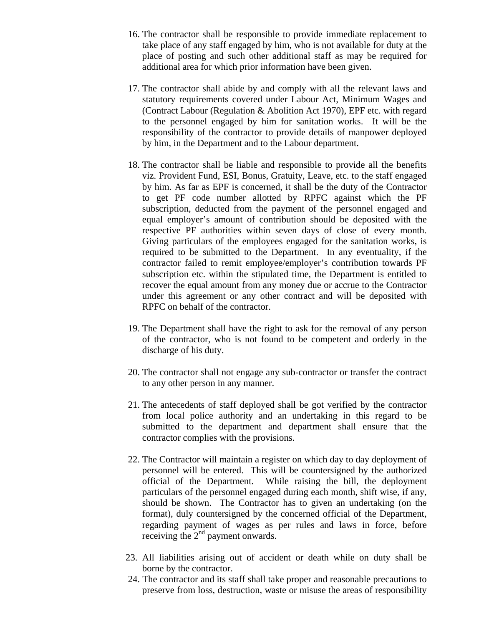- 16. The contractor shall be responsible to provide immediate replacement to take place of any staff engaged by him, who is not available for duty at the place of posting and such other additional staff as may be required for additional area for which prior information have been given.
- 17. The contractor shall abide by and comply with all the relevant laws and statutory requirements covered under Labour Act, Minimum Wages and (Contract Labour (Regulation & Abolition Act 1970), EPF etc. with regard to the personnel engaged by him for sanitation works. It will be the responsibility of the contractor to provide details of manpower deployed by him, in the Department and to the Labour department.
- 18. The contractor shall be liable and responsible to provide all the benefits viz. Provident Fund, ESI, Bonus, Gratuity, Leave, etc. to the staff engaged by him. As far as EPF is concerned, it shall be the duty of the Contractor to get PF code number allotted by RPFC against which the PF subscription, deducted from the payment of the personnel engaged and equal employer's amount of contribution should be deposited with the respective PF authorities within seven days of close of every month. Giving particulars of the employees engaged for the sanitation works, is required to be submitted to the Department. In any eventuality, if the contractor failed to remit employee/employer's contribution towards PF subscription etc. within the stipulated time, the Department is entitled to recover the equal amount from any money due or accrue to the Contractor under this agreement or any other contract and will be deposited with RPFC on behalf of the contractor.
- 19. The Department shall have the right to ask for the removal of any person of the contractor, who is not found to be competent and orderly in the discharge of his duty.
- 20. The contractor shall not engage any sub-contractor or transfer the contract to any other person in any manner.
- 21. The antecedents of staff deployed shall be got verified by the contractor from local police authority and an undertaking in this regard to be submitted to the department and department shall ensure that the contractor complies with the provisions.
- 22. The Contractor will maintain a register on which day to day deployment of personnel will be entered. This will be countersigned by the authorized official of the Department. While raising the bill, the deployment particulars of the personnel engaged during each month, shift wise, if any, should be shown. The Contractor has to given an undertaking (on the format), duly countersigned by the concerned official of the Department, regarding payment of wages as per rules and laws in force, before receiving the  $2<sup>nd</sup>$  payment onwards.
- 23. All liabilities arising out of accident or death while on duty shall be borne by the contractor.
- 24. The contractor and its staff shall take proper and reasonable precautions to preserve from loss, destruction, waste or misuse the areas of responsibility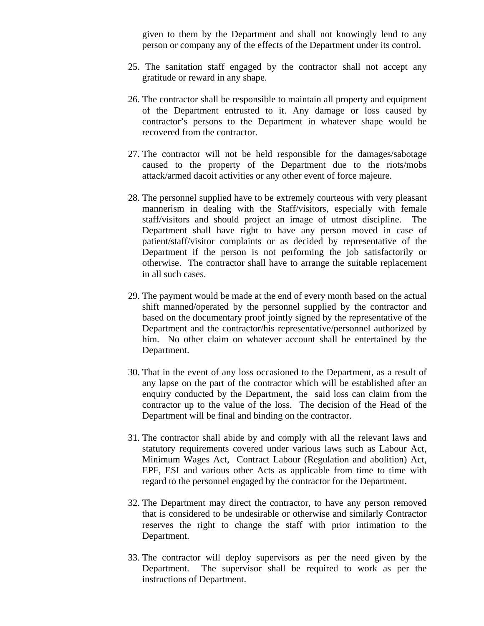given to them by the Department and shall not knowingly lend to any person or company any of the effects of the Department under its control.

- 25. The sanitation staff engaged by the contractor shall not accept any gratitude or reward in any shape.
- 26. The contractor shall be responsible to maintain all property and equipment of the Department entrusted to it. Any damage or loss caused by contractor's persons to the Department in whatever shape would be recovered from the contractor.
- 27. The contractor will not be held responsible for the damages/sabotage caused to the property of the Department due to the riots/mobs attack/armed dacoit activities or any other event of force majeure.
- 28. The personnel supplied have to be extremely courteous with very pleasant mannerism in dealing with the Staff/visitors, especially with female staff/visitors and should project an image of utmost discipline. The Department shall have right to have any person moved in case of patient/staff/visitor complaints or as decided by representative of the Department if the person is not performing the job satisfactorily or otherwise. The contractor shall have to arrange the suitable replacement in all such cases.
- 29. The payment would be made at the end of every month based on the actual shift manned/operated by the personnel supplied by the contractor and based on the documentary proof jointly signed by the representative of the Department and the contractor/his representative/personnel authorized by him. No other claim on whatever account shall be entertained by the Department.
- 30. That in the event of any loss occasioned to the Department, as a result of any lapse on the part of the contractor which will be established after an enquiry conducted by the Department, the said loss can claim from the contractor up to the value of the loss. The decision of the Head of the Department will be final and binding on the contractor.
- 31. The contractor shall abide by and comply with all the relevant laws and statutory requirements covered under various laws such as Labour Act, Minimum Wages Act, Contract Labour (Regulation and abolition) Act, EPF, ESI and various other Acts as applicable from time to time with regard to the personnel engaged by the contractor for the Department.
- 32. The Department may direct the contractor, to have any person removed that is considered to be undesirable or otherwise and similarly Contractor reserves the right to change the staff with prior intimation to the Department.
- 33. The contractor will deploy supervisors as per the need given by the Department. The supervisor shall be required to work as per the instructions of Department.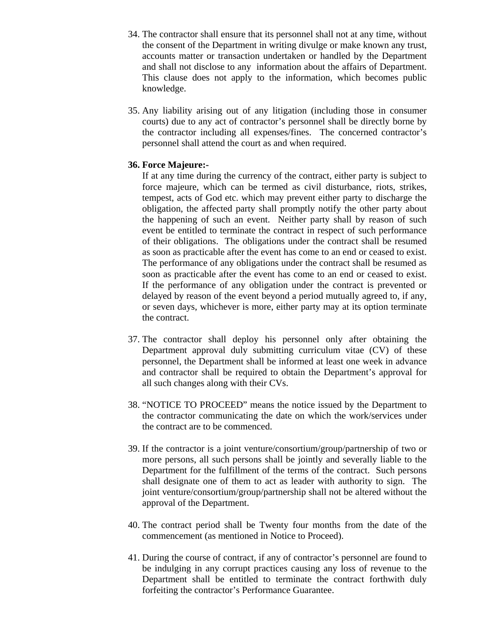- 34. The contractor shall ensure that its personnel shall not at any time, without the consent of the Department in writing divulge or make known any trust, accounts matter or transaction undertaken or handled by the Department and shall not disclose to any information about the affairs of Department. This clause does not apply to the information, which becomes public knowledge.
- 35. Any liability arising out of any litigation (including those in consumer courts) due to any act of contractor's personnel shall be directly borne by the contractor including all expenses/fines. The concerned contractor's personnel shall attend the court as and when required.

#### **36. Force Majeure:-**

If at any time during the currency of the contract, either party is subject to force majeure, which can be termed as civil disturbance, riots, strikes, tempest, acts of God etc. which may prevent either party to discharge the obligation, the affected party shall promptly notify the other party about the happening of such an event. Neither party shall by reason of such event be entitled to terminate the contract in respect of such performance of their obligations. The obligations under the contract shall be resumed as soon as practicable after the event has come to an end or ceased to exist. The performance of any obligations under the contract shall be resumed as soon as practicable after the event has come to an end or ceased to exist. If the performance of any obligation under the contract is prevented or delayed by reason of the event beyond a period mutually agreed to, if any, or seven days, whichever is more, either party may at its option terminate the contract.

- 37. The contractor shall deploy his personnel only after obtaining the Department approval duly submitting curriculum vitae (CV) of these personnel, the Department shall be informed at least one week in advance and contractor shall be required to obtain the Department's approval for all such changes along with their CVs.
- 38. "NOTICE TO PROCEED" means the notice issued by the Department to the contractor communicating the date on which the work/services under the contract are to be commenced.
- 39. If the contractor is a joint venture/consortium/group/partnership of two or more persons, all such persons shall be jointly and severally liable to the Department for the fulfillment of the terms of the contract. Such persons shall designate one of them to act as leader with authority to sign. The joint venture/consortium/group/partnership shall not be altered without the approval of the Department.
- 40. The contract period shall be Twenty four months from the date of the commencement (as mentioned in Notice to Proceed).
- 41. During the course of contract, if any of contractor's personnel are found to be indulging in any corrupt practices causing any loss of revenue to the Department shall be entitled to terminate the contract forthwith duly forfeiting the contractor's Performance Guarantee.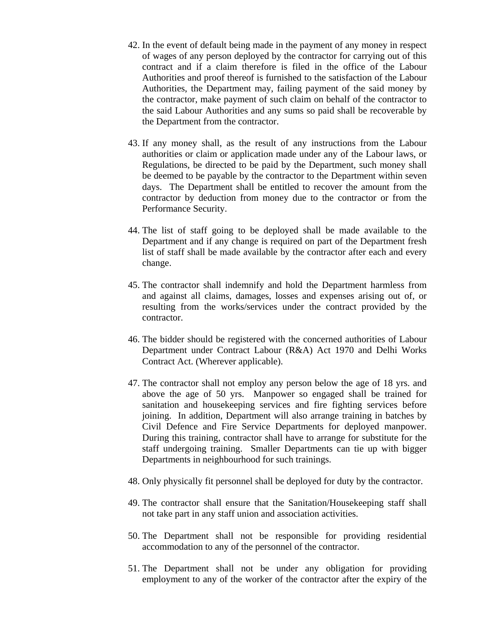- 42. In the event of default being made in the payment of any money in respect of wages of any person deployed by the contractor for carrying out of this contract and if a claim therefore is filed in the office of the Labour Authorities and proof thereof is furnished to the satisfaction of the Labour Authorities, the Department may, failing payment of the said money by the contractor, make payment of such claim on behalf of the contractor to the said Labour Authorities and any sums so paid shall be recoverable by the Department from the contractor.
- 43. If any money shall, as the result of any instructions from the Labour authorities or claim or application made under any of the Labour laws, or Regulations, be directed to be paid by the Department, such money shall be deemed to be payable by the contractor to the Department within seven days. The Department shall be entitled to recover the amount from the contractor by deduction from money due to the contractor or from the Performance Security.
- 44. The list of staff going to be deployed shall be made available to the Department and if any change is required on part of the Department fresh list of staff shall be made available by the contractor after each and every change.
- 45. The contractor shall indemnify and hold the Department harmless from and against all claims, damages, losses and expenses arising out of, or resulting from the works/services under the contract provided by the contractor.
- 46. The bidder should be registered with the concerned authorities of Labour Department under Contract Labour (R&A) Act 1970 and Delhi Works Contract Act. (Wherever applicable).
- 47. The contractor shall not employ any person below the age of 18 yrs. and above the age of 50 yrs. Manpower so engaged shall be trained for sanitation and housekeeping services and fire fighting services before joining. In addition, Department will also arrange training in batches by Civil Defence and Fire Service Departments for deployed manpower. During this training, contractor shall have to arrange for substitute for the staff undergoing training. Smaller Departments can tie up with bigger Departments in neighbourhood for such trainings.
- 48. Only physically fit personnel shall be deployed for duty by the contractor.
- 49. The contractor shall ensure that the Sanitation/Housekeeping staff shall not take part in any staff union and association activities.
- 50. The Department shall not be responsible for providing residential accommodation to any of the personnel of the contractor.
- 51. The Department shall not be under any obligation for providing employment to any of the worker of the contractor after the expiry of the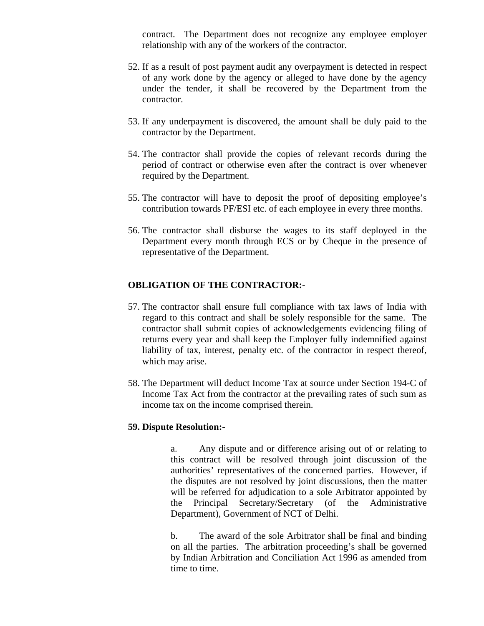contract. The Department does not recognize any employee employer relationship with any of the workers of the contractor.

- 52. If as a result of post payment audit any overpayment is detected in respect of any work done by the agency or alleged to have done by the agency under the tender, it shall be recovered by the Department from the contractor.
- 53. If any underpayment is discovered, the amount shall be duly paid to the contractor by the Department.
- 54. The contractor shall provide the copies of relevant records during the period of contract or otherwise even after the contract is over whenever required by the Department.
- 55. The contractor will have to deposit the proof of depositing employee's contribution towards PF/ESI etc. of each employee in every three months.
- 56. The contractor shall disburse the wages to its staff deployed in the Department every month through ECS or by Cheque in the presence of representative of the Department.

#### **OBLIGATION OF THE CONTRACTOR:-**

- 57. The contractor shall ensure full compliance with tax laws of India with regard to this contract and shall be solely responsible for the same. The contractor shall submit copies of acknowledgements evidencing filing of returns every year and shall keep the Employer fully indemnified against liability of tax, interest, penalty etc. of the contractor in respect thereof, which may arise.
- 58. The Department will deduct Income Tax at source under Section 194-C of Income Tax Act from the contractor at the prevailing rates of such sum as income tax on the income comprised therein.

#### **59. Dispute Resolution:-**

a. Any dispute and or difference arising out of or relating to this contract will be resolved through joint discussion of the authorities' representatives of the concerned parties. However, if the disputes are not resolved by joint discussions, then the matter will be referred for adjudication to a sole Arbitrator appointed by the Principal Secretary/Secretary (of the Administrative Department), Government of NCT of Delhi.

b. The award of the sole Arbitrator shall be final and binding on all the parties. The arbitration proceeding's shall be governed by Indian Arbitration and Conciliation Act 1996 as amended from time to time.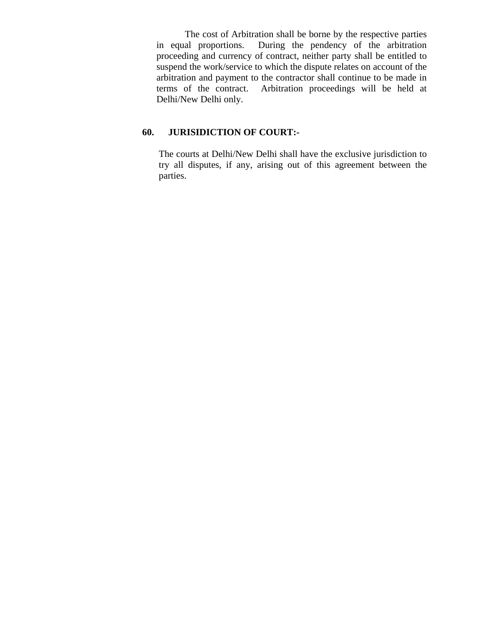The cost of Arbitration shall be borne by the respective parties in equal proportions. During the pendency of the arbitration proceeding and currency of contract, neither party shall be entitled to suspend the work/service to which the dispute relates on account of the arbitration and payment to the contractor shall continue to be made in terms of the contract. Arbitration proceedings will be held at Delhi/New Delhi only.

#### **60. JURISIDICTION OF COURT:-**

The courts at Delhi/New Delhi shall have the exclusive jurisdiction to try all disputes, if any, arising out of this agreement between the parties.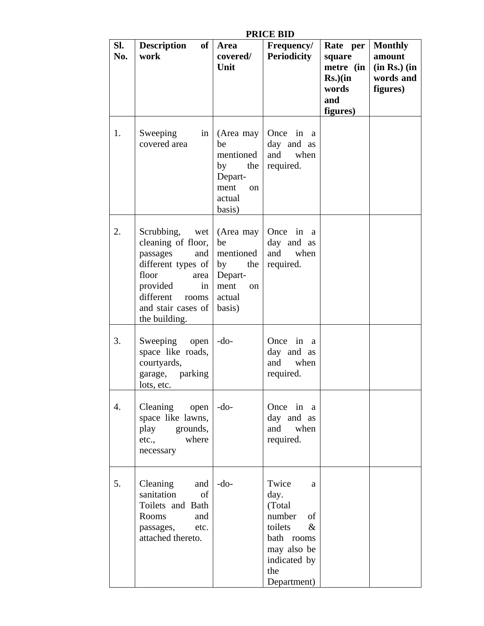| Sl.<br>No. | of <sub>l</sub><br><b>Description</b><br>work                                                                                                                                   | Area<br>covered/<br>Unit                                                                          | I INIVE DID<br><b>Frequency/</b><br><b>Periodicity</b>                                                                              | Rate per<br>square<br>metre (in<br>$Rs.$ ) $(in$<br>words<br>and<br>figures) | <b>Monthly</b><br>amount<br>$(in Rs.)$ $(in$<br>words and<br>figures) |
|------------|---------------------------------------------------------------------------------------------------------------------------------------------------------------------------------|---------------------------------------------------------------------------------------------------|-------------------------------------------------------------------------------------------------------------------------------------|------------------------------------------------------------------------------|-----------------------------------------------------------------------|
| 1.         | Sweeping<br>in<br>covered area                                                                                                                                                  | (Area may<br>be<br>mentioned<br>by<br>the<br>Depart-<br>ment<br>on<br>actual<br>basis)            | Once in a<br>day and as<br>and when<br>required.                                                                                    |                                                                              |                                                                       |
| 2.         | Scrubbing, wet<br>cleaning of floor,<br>passages<br>and  <br>different types of<br>floor<br>area<br>provided<br>in<br>different<br>rooms<br>and stair cases of<br>the building. | (Area may<br>be<br>mentioned<br>by<br>the<br>Depart-<br>ment<br><sub>on</sub><br>actual<br>basis) | Once in a<br>day and as<br>and<br>when<br>required.                                                                                 |                                                                              |                                                                       |
| 3.         | Sweeping<br>open<br>space like roads,<br>courtyards,<br>garage, parking<br>lots, etc.                                                                                           | $-do-$                                                                                            | Once in a<br>day and as<br>when<br>and<br>required.                                                                                 |                                                                              |                                                                       |
| 4.         | $C$ leaning open<br>space like lawns,<br>play grounds,<br>where<br>etc.,<br>necessary                                                                                           | $-do-$                                                                                            | Once in a<br>day and as<br>and when<br>required.                                                                                    |                                                                              |                                                                       |
| 5.         | Cleaning<br>and<br>sanitation<br>of<br>Toilets and Bath<br>Rooms<br>and<br>passages,<br>etc.<br>attached thereto.                                                               | $-$ do-                                                                                           | Twice<br>a<br>day.<br>(Total)<br>number<br>of<br>toilets<br>$\&$<br>bath rooms<br>may also be<br>indicated by<br>the<br>Department) |                                                                              |                                                                       |

#### **PRICE BID**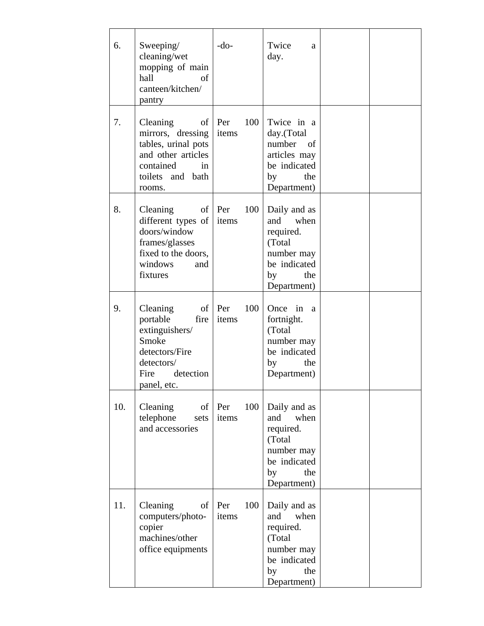| 6.  | Sweeping/<br>cleaning/wet<br>mopping of main<br>hall<br>of<br>canteen/kitchen/<br>pantry                                            | $-do-$                     | Twice<br>a<br>day.                                                                                            |  |
|-----|-------------------------------------------------------------------------------------------------------------------------------------|----------------------------|---------------------------------------------------------------------------------------------------------------|--|
| 7.  | Cleaning<br>of  <br>mirrors, dressing<br>tables, urinal pots<br>and other articles<br>contained<br>in<br>toilets and bath<br>rooms. | 100<br>Per<br>items        | Twice in a<br>day.(Total<br>number<br>of<br>articles may<br>be indicated<br>by<br>the<br>Department)          |  |
| 8.  | Cleaning<br>different types of<br>doors/window<br>frames/glasses<br>fixed to the doors,<br>windows<br>and<br>fixtures               | of Per<br>100<br>items     | Daily and as<br>when<br>and<br>required.<br>(Total)<br>number may<br>be indicated<br>the<br>by<br>Department) |  |
| 9.  | Cleaning<br>portable<br>fire<br>extinguishers/<br>Smoke<br>detectors/Fire<br>detectors/<br>detection<br>Fire<br>panel, etc.         | of $ $ Per<br>100<br>items | Once in a<br>fortnight.<br>(Total<br>number may<br>be indicated<br>by<br>the<br>Department)                   |  |
| 10. | Cleaning<br>telephone<br>sets<br>and accessories                                                                                    | 100<br>$of$ Per<br>items   | Daily and as<br>and when<br>required.<br>(Total<br>number may<br>be indicated<br>by<br>the<br>Department)     |  |
| 11. | Cleaning<br>of<br>computers/photo-<br>copier<br>machines/other<br>office equipments                                                 | 100<br>Per<br>items        | Daily and as<br>and<br>when<br>required.<br>(Total<br>number may<br>be indicated<br>by<br>the<br>Department)  |  |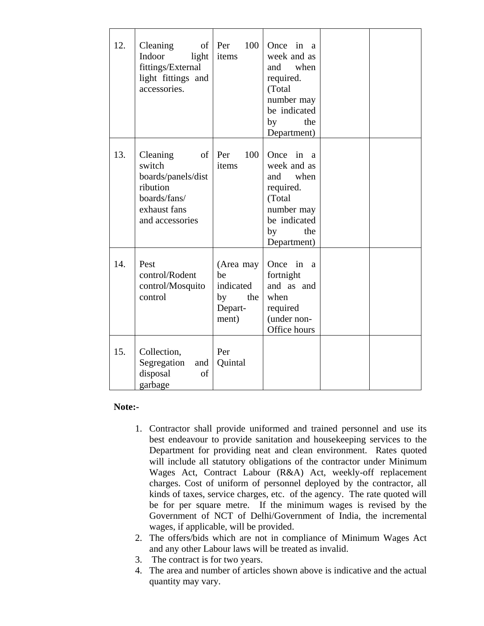| 12. | Cleaning<br>of<br>Indoor<br>light<br>fittings/External<br>light fittings and<br>accessories.                  | 100<br>Per<br>items                                           | Once in a<br>week and as<br>and<br>when<br>required.<br>(Total<br>number may<br>be indicated<br>the<br>by<br>Department)               |  |
|-----|---------------------------------------------------------------------------------------------------------------|---------------------------------------------------------------|----------------------------------------------------------------------------------------------------------------------------------------|--|
| 13. | Cleaning<br>of<br>switch<br>boards/panels/dist<br>ribution<br>boards/fans/<br>exhaust fans<br>and accessories | 100<br>Per<br>items                                           | Once<br>in<br><sub>a</sub><br>week and as<br>and when<br>required.<br>(Total<br>number may<br>be indicated<br>the<br>by<br>Department) |  |
| 14. | Pest<br>control/Rodent<br>control/Mosquito<br>control                                                         | (Area may<br>be<br>indicated<br>by<br>the<br>Depart-<br>ment) | Once in<br>a<br>fortnight<br>and as and<br>when<br>required<br>(under non-<br>Office hours                                             |  |
| 15. | Collection,<br>Segregation<br>and  <br>disposal<br>of<br>garbage                                              | Per<br>Quintal                                                |                                                                                                                                        |  |

#### **Note:-**

- 1. Contractor shall provide uniformed and trained personnel and use its best endeavour to provide sanitation and housekeeping services to the Department for providing neat and clean environment. Rates quoted will include all statutory obligations of the contractor under Minimum Wages Act, Contract Labour (R&A) Act, weekly-off replacement charges. Cost of uniform of personnel deployed by the contractor, all kinds of taxes, service charges, etc. of the agency. The rate quoted will be for per square metre. If the minimum wages is revised by the Government of NCT of Delhi/Government of India, the incremental wages, if applicable, will be provided.
- 2. The offers/bids which are not in compliance of Minimum Wages Act and any other Labour laws will be treated as invalid.
- 3. The contract is for two years.
- 4. The area and number of articles shown above is indicative and the actual quantity may vary.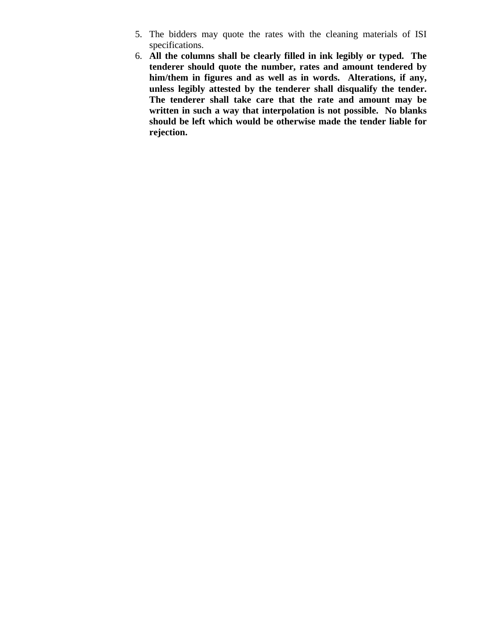- 5. The bidders may quote the rates with the cleaning materials of ISI specifications.
- 6. **All the columns shall be clearly filled in ink legibly or typed. The tenderer should quote the number, rates and amount tendered by him/them in figures and as well as in words. Alterations, if any, unless legibly attested by the tenderer shall disqualify the tender. The tenderer shall take care that the rate and amount may be written in such a way that interpolation is not possible. No blanks should be left which would be otherwise made the tender liable for rejection.**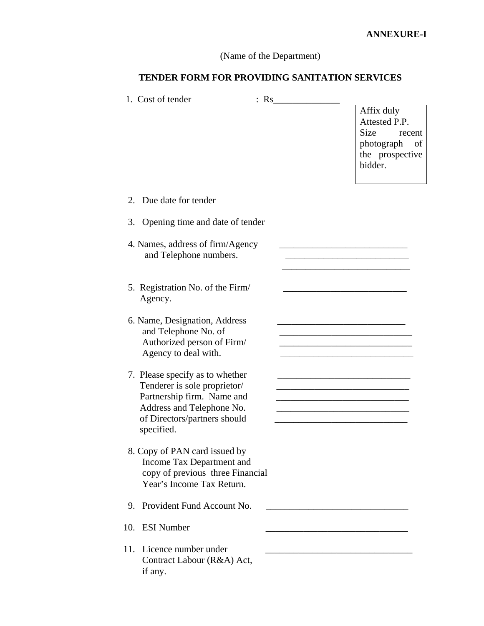# (Name of the Department)

# **TENDER FORM FOR PROVIDING SANITATION SERVICES**

| 1. Cost of tender                                                                                                                                                        | $:$ Rs $\qquad \qquad$ |                                                                                                                                                                                    |
|--------------------------------------------------------------------------------------------------------------------------------------------------------------------------|------------------------|------------------------------------------------------------------------------------------------------------------------------------------------------------------------------------|
|                                                                                                                                                                          |                        | Affix duly<br>Attested P.P.<br>Size<br>recent<br>photograph<br>of<br>the prospective<br>bidder.                                                                                    |
| 2. Due date for tender                                                                                                                                                   |                        |                                                                                                                                                                                    |
| Opening time and date of tender<br>3.                                                                                                                                    |                        |                                                                                                                                                                                    |
| 4. Names, address of firm/Agency<br>and Telephone numbers.                                                                                                               |                        |                                                                                                                                                                                    |
| 5. Registration No. of the Firm/<br>Agency.                                                                                                                              |                        |                                                                                                                                                                                    |
| 6. Name, Designation, Address<br>and Telephone No. of<br>Authorized person of Firm/<br>Agency to deal with.                                                              |                        | <u> 1989 - Johann Barbara, martxa alemaniar a</u>                                                                                                                                  |
| 7. Please specify as to whether<br>Tenderer is sole proprietor/<br>Partnership firm. Name and<br>Address and Telephone No.<br>of Directors/partners should<br>specified. |                        | <u> 1989 - Johann Barbara, martxa alemaniar a</u><br><u> 1989 - Johann John Stone, mars et al. 1989 - John Stone, mars et al. 1989 - John Stone, mars et al. 1989 - John Stone</u> |
| 8. Copy of PAN card issued by<br>Income Tax Department and<br>copy of previous three Financial<br>Year's Income Tax Return.                                              |                        |                                                                                                                                                                                    |
| Provident Fund Account No.<br>9.                                                                                                                                         |                        |                                                                                                                                                                                    |
| <b>ESI</b> Number<br>10.                                                                                                                                                 |                        |                                                                                                                                                                                    |
| 11. Licence number under<br>Contract Labour (R&A) Act,<br>if any.                                                                                                        |                        |                                                                                                                                                                                    |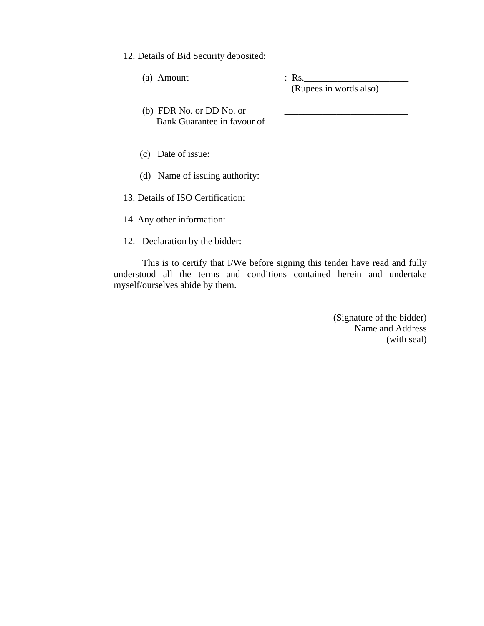12. Details of Bid Security deposited:

| (Rupees in words also) |
|------------------------|
|                        |
|                        |

(d) Name of issuing authority:

13. Details of ISO Certification:

14. Any other information:

12. Declaration by the bidder:

This is to certify that I/We before signing this tender have read and fully understood all the terms and conditions contained herein and undertake myself/ourselves abide by them.

> (Signature of the bidder) Name and Address (with seal)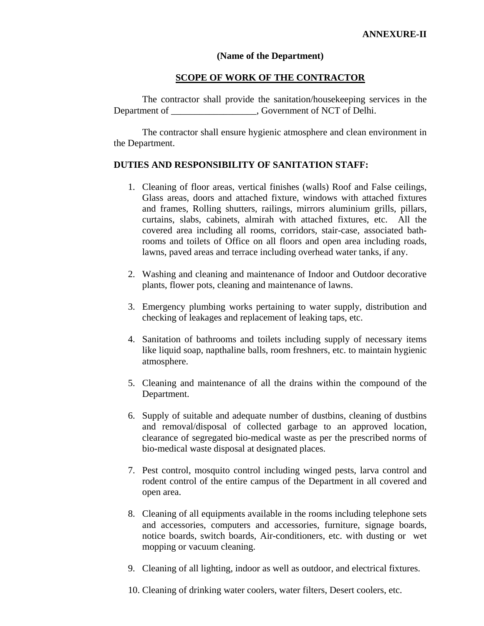#### **(Name of the Department)**

#### **SCOPE OF WORK OF THE CONTRACTOR**

 The contractor shall provide the sanitation/housekeeping services in the Department of \_\_\_\_\_\_\_\_\_\_\_\_\_\_\_\_\_\_, Government of NCT of Delhi.

 The contractor shall ensure hygienic atmosphere and clean environment in the Department.

#### **DUTIES AND RESPONSIBILITY OF SANITATION STAFF:**

- 1. Cleaning of floor areas, vertical finishes (walls) Roof and False ceilings, Glass areas, doors and attached fixture, windows with attached fixtures and frames, Rolling shutters, railings, mirrors aluminium grills, pillars, curtains, slabs, cabinets, almirah with attached fixtures, etc. All the covered area including all rooms, corridors, stair-case, associated bathrooms and toilets of Office on all floors and open area including roads, lawns, paved areas and terrace including overhead water tanks, if any.
- 2. Washing and cleaning and maintenance of Indoor and Outdoor decorative plants, flower pots, cleaning and maintenance of lawns.
- 3. Emergency plumbing works pertaining to water supply, distribution and checking of leakages and replacement of leaking taps, etc.
- 4. Sanitation of bathrooms and toilets including supply of necessary items like liquid soap, napthaline balls, room freshners, etc. to maintain hygienic atmosphere.
- 5. Cleaning and maintenance of all the drains within the compound of the Department.
- 6. Supply of suitable and adequate number of dustbins, cleaning of dustbins and removal/disposal of collected garbage to an approved location, clearance of segregated bio-medical waste as per the prescribed norms of bio-medical waste disposal at designated places.
- 7. Pest control, mosquito control including winged pests, larva control and rodent control of the entire campus of the Department in all covered and open area.
- 8. Cleaning of all equipments available in the rooms including telephone sets and accessories, computers and accessories, furniture, signage boards, notice boards, switch boards, Air-conditioners, etc. with dusting or wet mopping or vacuum cleaning.
- 9. Cleaning of all lighting, indoor as well as outdoor, and electrical fixtures.

10. Cleaning of drinking water coolers, water filters, Desert coolers, etc.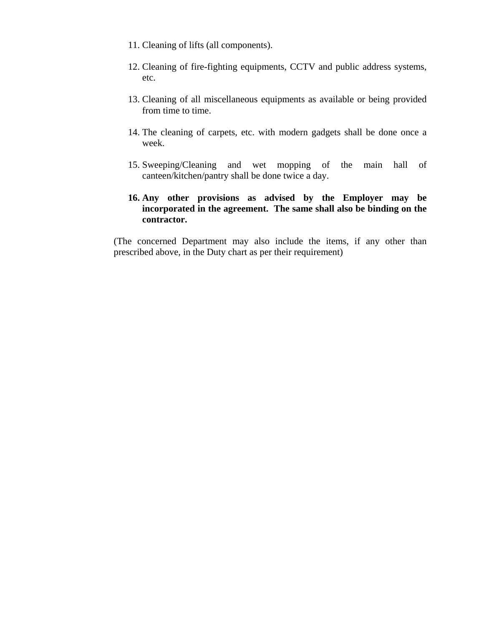- 11. Cleaning of lifts (all components).
- 12. Cleaning of fire-fighting equipments, CCTV and public address systems, etc.
- 13. Cleaning of all miscellaneous equipments as available or being provided from time to time.
- 14. The cleaning of carpets, etc. with modern gadgets shall be done once a week.
- 15. Sweeping/Cleaning and wet mopping of the main hall of canteen/kitchen/pantry shall be done twice a day.
- **16. Any other provisions as advised by the Employer may be incorporated in the agreement. The same shall also be binding on the contractor.**

(The concerned Department may also include the items, if any other than prescribed above, in the Duty chart as per their requirement)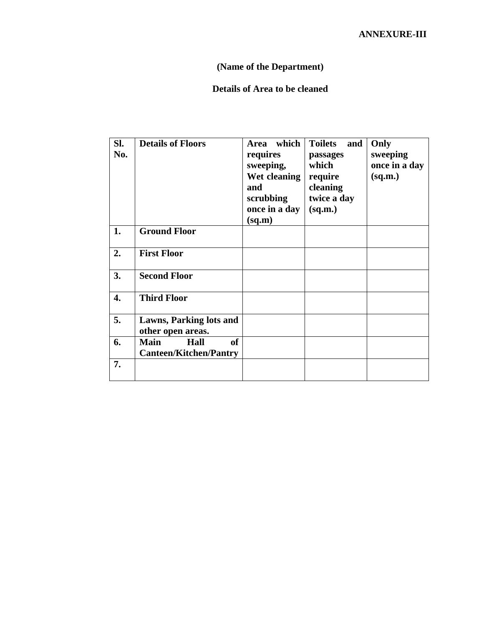# **(Name of the Department)**

# **Details of Area to be cleaned**

| SI.<br>No. | <b>Details of Floors</b>                                   | which<br>Area<br>requires<br>sweeping,<br>Wet cleaning<br>and<br>scrubbing<br>once in a day<br>(sq.m) | <b>Toilets</b><br>and<br>passages<br>which<br>require<br>cleaning<br>twice a day<br>(sq.m.) | Only<br>sweeping<br>once in a day<br>(sq.m.) |
|------------|------------------------------------------------------------|-------------------------------------------------------------------------------------------------------|---------------------------------------------------------------------------------------------|----------------------------------------------|
| 1.         | <b>Ground Floor</b>                                        |                                                                                                       |                                                                                             |                                              |
| 2.         | <b>First Floor</b>                                         |                                                                                                       |                                                                                             |                                              |
| 3.         | <b>Second Floor</b>                                        |                                                                                                       |                                                                                             |                                              |
| 4.         | <b>Third Floor</b>                                         |                                                                                                       |                                                                                             |                                              |
| 5.         | Lawns, Parking lots and<br>other open areas.               |                                                                                                       |                                                                                             |                                              |
| 6.         | <b>Main</b><br>of<br>Hall<br><b>Canteen/Kitchen/Pantry</b> |                                                                                                       |                                                                                             |                                              |
| 7.         |                                                            |                                                                                                       |                                                                                             |                                              |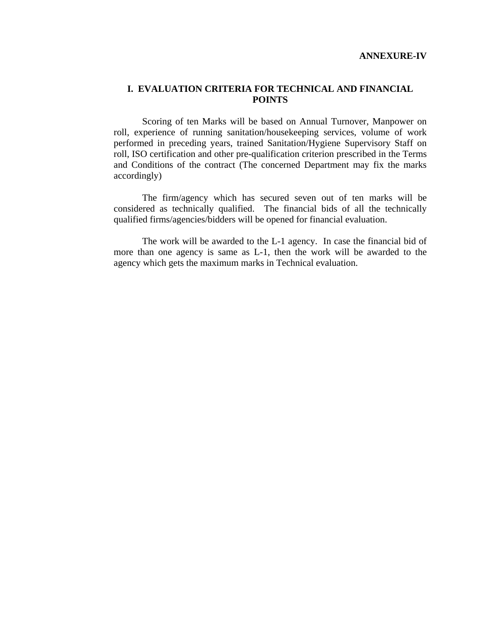#### **I. EVALUATION CRITERIA FOR TECHNICAL AND FINANCIAL POINTS**

 Scoring of ten Marks will be based on Annual Turnover, Manpower on roll, experience of running sanitation/housekeeping services, volume of work performed in preceding years, trained Sanitation/Hygiene Supervisory Staff on roll, ISO certification and other pre-qualification criterion prescribed in the Terms and Conditions of the contract (The concerned Department may fix the marks accordingly)

The firm/agency which has secured seven out of ten marks will be considered as technically qualified. The financial bids of all the technically qualified firms/agencies/bidders will be opened for financial evaluation.

The work will be awarded to the L-1 agency. In case the financial bid of more than one agency is same as L-1, then the work will be awarded to the agency which gets the maximum marks in Technical evaluation.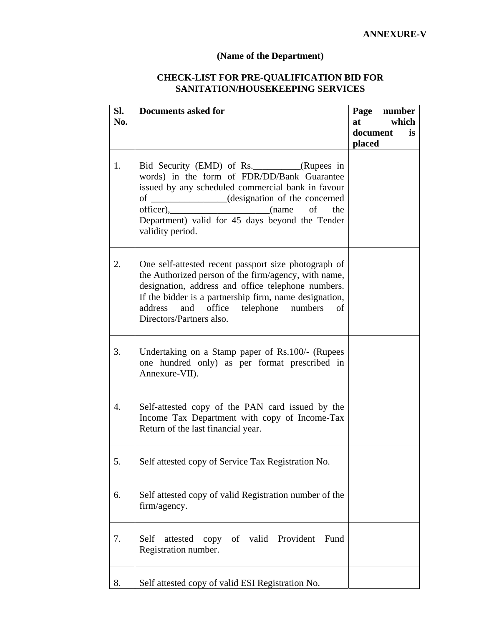### **(Name of the Department)**

# **CHECK-LIST FOR PRE-QUALIFICATION BID FOR SANITATION/HOUSEKEEPING SERVICES**

| SI.<br>No. | <b>Documents asked for</b>                                                                                                                                                                                                                                                                             | Page<br>number<br>at<br>which<br>document<br><i>is</i> |
|------------|--------------------------------------------------------------------------------------------------------------------------------------------------------------------------------------------------------------------------------------------------------------------------------------------------------|--------------------------------------------------------|
|            |                                                                                                                                                                                                                                                                                                        | placed                                                 |
| 1.         | Bid Security (EMD) of Rs._________(Rupees in<br>words) in the form of FDR/DD/Bank Guarantee<br>issued by any scheduled commercial bank in favour<br>of ____________(designation of the concerned<br>officer), (name of<br>the<br>Department) valid for 45 days beyond the Tender<br>validity period.   |                                                        |
| 2.         | One self-attested recent passport size photograph of<br>the Authorized person of the firm/agency, with name,<br>designation, address and office telephone numbers.<br>If the bidder is a partnership firm, name designation,<br>address and office telephone numbers<br>of<br>Directors/Partners also. |                                                        |
| 3.         | Undertaking on a Stamp paper of Rs.100/- (Rupees<br>one hundred only) as per format prescribed in<br>Annexure-VII).                                                                                                                                                                                    |                                                        |
| 4.         | Self-attested copy of the PAN card issued by the<br>Income Tax Department with copy of Income-Tax<br>Return of the last financial year.                                                                                                                                                                |                                                        |
| 5.         | Self attested copy of Service Tax Registration No.                                                                                                                                                                                                                                                     |                                                        |
| 6.         | Self attested copy of valid Registration number of the<br>firm/agency.                                                                                                                                                                                                                                 |                                                        |
| 7.         | copy of valid Provident<br>Self<br>attested<br>Fund<br>Registration number.                                                                                                                                                                                                                            |                                                        |
| 8.         | Self attested copy of valid ESI Registration No.                                                                                                                                                                                                                                                       |                                                        |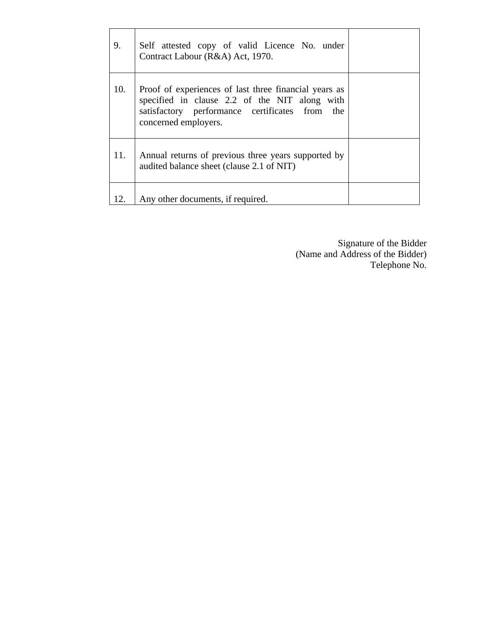| 9.  | Self attested copy of valid Licence No. under<br>Contract Labour (R&A) Act, 1970.                                                                                                |  |
|-----|----------------------------------------------------------------------------------------------------------------------------------------------------------------------------------|--|
| 10. | Proof of experiences of last three financial years as<br>specified in clause 2.2 of the NIT along with<br>satisfactory performance certificates from the<br>concerned employers. |  |
| 11. | Annual returns of previous three years supported by<br>audited balance sheet (clause 2.1 of NIT)                                                                                 |  |
| 12. | Any other documents, if required.                                                                                                                                                |  |

Signature of the Bidder (Name and Address of the Bidder) Telephone No.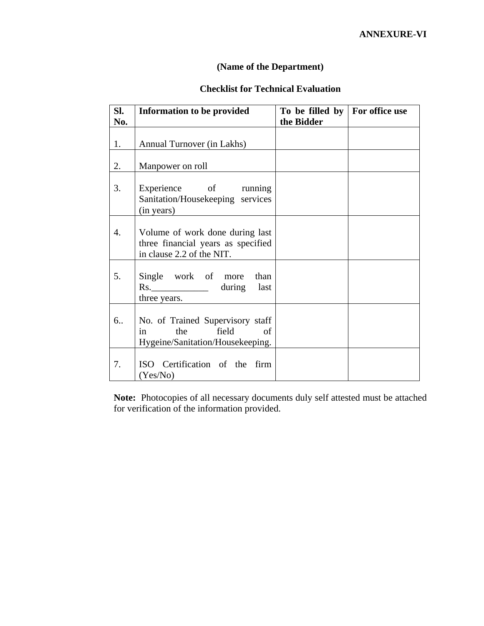# **(Name of the Department)**

# **Checklist for Technical Evaluation**

| SI.<br>No.       | Information to be provided                                                                         | To be filled by $\vert$ For office use<br>the Bidder |  |
|------------------|----------------------------------------------------------------------------------------------------|------------------------------------------------------|--|
| 1.               | Annual Turnover (in Lakhs)                                                                         |                                                      |  |
| 2.               | Manpower on roll                                                                                   |                                                      |  |
| 3.               | Experience of running<br>Sanitation/Housekeeping services<br>(in years)                            |                                                      |  |
| $\overline{4}$ . | Volume of work done during last<br>three financial years as specified<br>in clause 2.2 of the NIT. |                                                      |  |
| 5.               | Single work of more<br>than<br>Rs. ___________________ during last<br>three years.                 |                                                      |  |
| 6                | No. of Trained Supervisory staff<br>field<br>the<br>in<br>of<br>Hygeine/Sanitation/Housekeeping.   |                                                      |  |
| 7.               | ISO Certification of the firm<br>(Yes/No)                                                          |                                                      |  |

**Note:** Photocopies of all necessary documents duly self attested must be attached for verification of the information provided.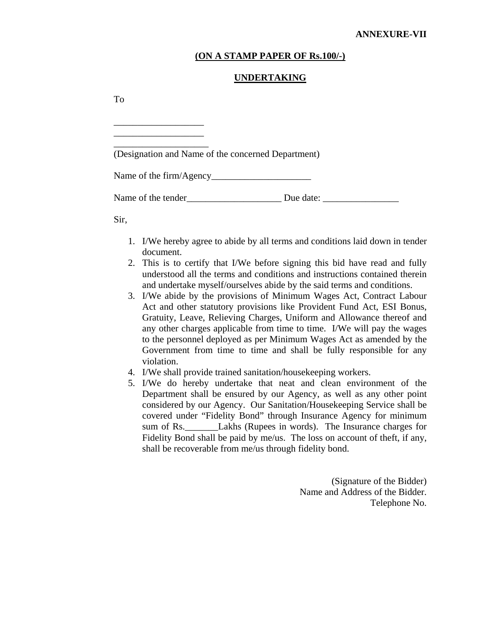#### **(ON A STAMP PAPER OF Rs.100/-)**

#### **UNDERTAKING**

To

| (Designation and Name of the concerned Department) |  |
|----------------------------------------------------|--|
|                                                    |  |
| Name of the tender Due date:                       |  |
| Sir,                                               |  |

- 1. I/We hereby agree to abide by all terms and conditions laid down in tender document.
- 2. This is to certify that I/We before signing this bid have read and fully understood all the terms and conditions and instructions contained therein and undertake myself/ourselves abide by the said terms and conditions.
- 3. I/We abide by the provisions of Minimum Wages Act, Contract Labour Act and other statutory provisions like Provident Fund Act, ESI Bonus, Gratuity, Leave, Relieving Charges, Uniform and Allowance thereof and any other charges applicable from time to time. I/We will pay the wages to the personnel deployed as per Minimum Wages Act as amended by the Government from time to time and shall be fully responsible for any violation.
- 4. I/We shall provide trained sanitation/housekeeping workers.
- 5. I/We do hereby undertake that neat and clean environment of the Department shall be ensured by our Agency, as well as any other point considered by our Agency. Our Sanitation/Housekeeping Service shall be covered under "Fidelity Bond" through Insurance Agency for minimum sum of Rs. Lakhs (Rupees in words). The Insurance charges for Fidelity Bond shall be paid by me/us. The loss on account of theft, if any, shall be recoverable from me/us through fidelity bond.

(Signature of the Bidder) Name and Address of the Bidder. Telephone No.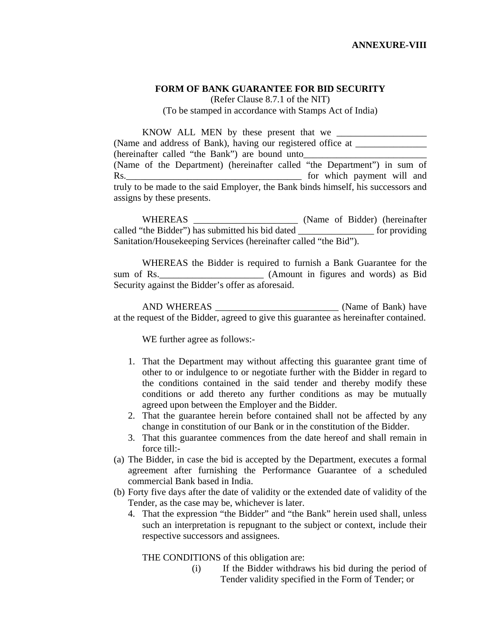#### **FORM OF BANK GUARANTEE FOR BID SECURITY**

(Refer Clause 8.7.1 of the NIT) (To be stamped in accordance with Stamps Act of India)

KNOW ALL MEN by these present that we (Name and address of Bank), having our registered office at \_\_\_\_\_\_\_\_\_\_\_\_\_\_\_\_\_\_\_\_\_ (hereinafter called "the Bank") are bound unto (Name of the Department) (hereinafter called "the Department") in sum of Rs.\_\_\_\_\_\_\_\_\_\_\_\_\_\_\_\_\_\_\_\_\_\_\_\_\_\_\_\_\_\_\_\_\_\_\_\_\_ for which payment will and truly to be made to the said Employer, the Bank binds himself, his successors and assigns by these presents.

 WHEREAS \_\_\_\_\_\_\_\_\_\_\_\_\_\_\_\_\_\_\_\_\_\_ (Name of Bidder) (hereinafter called "the Bidder") has submitted his bid dated \_\_\_\_\_\_\_\_\_\_\_\_\_\_\_\_ for providing Sanitation/Housekeeping Services (hereinafter called "the Bid").

 WHEREAS the Bidder is required to furnish a Bank Guarantee for the sum of Rs. (Amount in figures and words) as Bid Security against the Bidder's offer as aforesaid.

 AND WHEREAS \_\_\_\_\_\_\_\_\_\_\_\_\_\_\_\_\_\_\_\_\_\_\_\_\_\_ (Name of Bank) have at the request of the Bidder, agreed to give this guarantee as hereinafter contained.

WE further agree as follows:-

- 1. That the Department may without affecting this guarantee grant time of other to or indulgence to or negotiate further with the Bidder in regard to the conditions contained in the said tender and thereby modify these conditions or add thereto any further conditions as may be mutually agreed upon between the Employer and the Bidder.
- 2. That the guarantee herein before contained shall not be affected by any change in constitution of our Bank or in the constitution of the Bidder.
- 3. That this guarantee commences from the date hereof and shall remain in force till:-
- (a) The Bidder, in case the bid is accepted by the Department, executes a formal agreement after furnishing the Performance Guarantee of a scheduled commercial Bank based in India.
- (b) Forty five days after the date of validity or the extended date of validity of the Tender, as the case may be, whichever is later.
	- 4. That the expression "the Bidder" and "the Bank" herein used shall, unless such an interpretation is repugnant to the subject or context, include their respective successors and assignees.

THE CONDITIONS of this obligation are:

(i) If the Bidder withdraws his bid during the period of Tender validity specified in the Form of Tender; or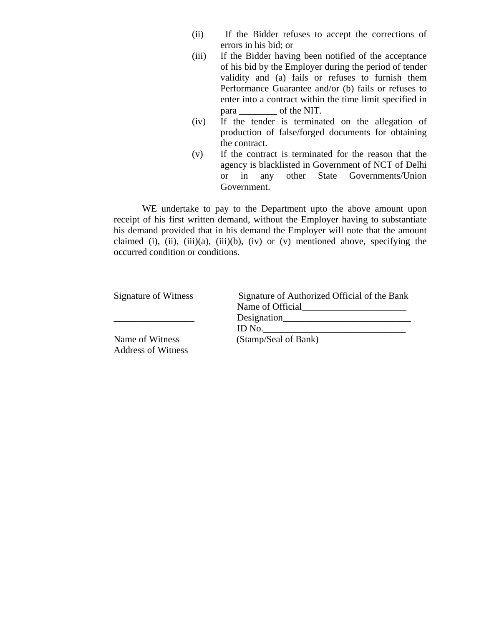- (ii) If the Bidder refuses to accept the corrections of errors in his bid; or
- (iii) If the Bidder having been notified of the acceptance of his bid by the Employer during the period of tender validity and (a) fails or refuses to furnish them Performance Guarantee and/or (b) fails or refuses to enter into a contract within the time limit specified in para \_\_\_\_\_\_\_\_ of the NIT.
- (iv) If the tender is terminated on the allegation of production of false/forged documents for obtaining the contract.
- (v) If the contract is terminated for the reason that the agency is blacklisted in Government of NCT of Delhi or in any other State Governments/Union Government.

WE undertake to pay to the Department upto the above amount upon receipt of his first written demand, without the Employer having to substantiate his demand provided that in his demand the Employer will note that the amount claimed (i), (ii), (iii)(a), (iii)(b), (iv) or (v) mentioned above, specifying the occurred condition or conditions.

| Signature of Witness                         | Signature of Authorized Official of the Bank |
|----------------------------------------------|----------------------------------------------|
|                                              | Name of Official                             |
|                                              | Designation                                  |
|                                              | ID No. $\qquad \qquad \qquad$                |
| Name of Witness<br><b>Address of Witness</b> | (Stamp/Seal of Bank)                         |
|                                              |                                              |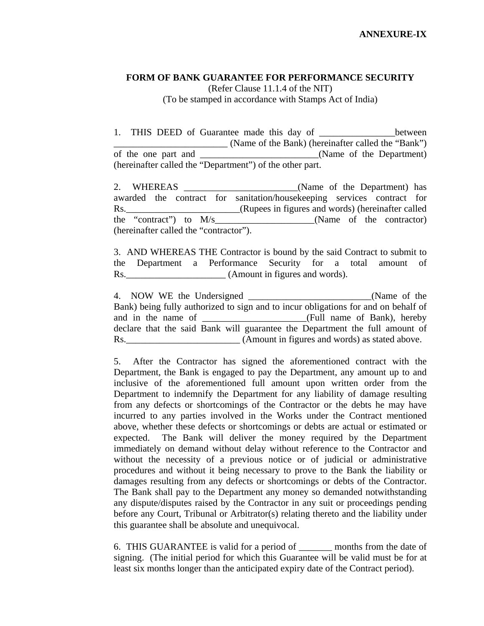#### **FORM OF BANK GUARANTEE FOR PERFORMANCE SECURITY**

(Refer Clause 11.1.4 of the NIT) (To be stamped in accordance with Stamps Act of India)

1. THIS DEED of Guarantee made this day of the between \_\_\_\_\_\_\_\_\_\_\_\_\_\_\_\_\_\_\_\_\_\_\_\_ (Name of the Bank) (hereinafter called the "Bank") of the one part and \_\_\_\_\_\_\_\_\_\_\_\_\_\_\_\_\_\_\_\_\_\_\_\_\_(Name of the Department) (hereinafter called the "Department") of the other part.

2. WHEREAS \_\_\_\_\_\_\_\_\_\_\_\_\_\_\_\_\_\_\_\_\_\_\_(Name of the Department) has awarded the contract for sanitation/housekeeping services contract for Rs. (Rupees in figures and words) (hereinafter called the "contract") to  $M/s$  (Name of the contractor) (hereinafter called the "contractor").

3. AND WHEREAS THE Contractor is bound by the said Contract to submit to the Department a Performance Security for a total amount of Rs. (Amount in figures and words).

4. NOW WE the Undersigned \_\_\_\_\_\_\_\_\_\_\_\_\_\_\_\_\_\_\_\_\_\_(Name of the Bank) being fully authorized to sign and to incur obligations for and on behalf of and in the name of example of the name of starting (Full name of Bank), hereby declare that the said Bank will guarantee the Department the full amount of Rs.\_\_\_\_\_\_\_\_\_\_\_\_\_\_\_\_\_\_\_\_\_\_\_\_ (Amount in figures and words) as stated above.

5. After the Contractor has signed the aforementioned contract with the Department, the Bank is engaged to pay the Department, any amount up to and inclusive of the aforementioned full amount upon written order from the Department to indemnify the Department for any liability of damage resulting from any defects or shortcomings of the Contractor or the debts he may have incurred to any parties involved in the Works under the Contract mentioned above, whether these defects or shortcomings or debts are actual or estimated or expected. The Bank will deliver the money required by the Department immediately on demand without delay without reference to the Contractor and without the necessity of a previous notice or of judicial or administrative procedures and without it being necessary to prove to the Bank the liability or damages resulting from any defects or shortcomings or debts of the Contractor. The Bank shall pay to the Department any money so demanded notwithstanding any dispute/disputes raised by the Contractor in any suit or proceedings pending before any Court, Tribunal or Arbitrator(s) relating thereto and the liability under this guarantee shall be absolute and unequivocal.

6. THIS GUARANTEE is valid for a period of \_\_\_\_\_\_\_ months from the date of signing. (The initial period for which this Guarantee will be valid must be for at least six months longer than the anticipated expiry date of the Contract period).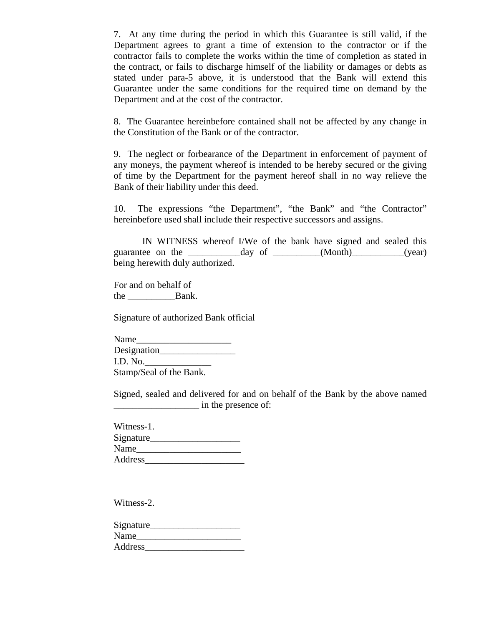7. At any time during the period in which this Guarantee is still valid, if the Department agrees to grant a time of extension to the contractor or if the contractor fails to complete the works within the time of completion as stated in the contract, or fails to discharge himself of the liability or damages or debts as stated under para-5 above, it is understood that the Bank will extend this Guarantee under the same conditions for the required time on demand by the Department and at the cost of the contractor.

8. The Guarantee hereinbefore contained shall not be affected by any change in the Constitution of the Bank or of the contractor.

9. The neglect or forbearance of the Department in enforcement of payment of any moneys, the payment whereof is intended to be hereby secured or the giving of time by the Department for the payment hereof shall in no way relieve the Bank of their liability under this deed.

10. The expressions "the Department", "the Bank" and "the Contractor" hereinbefore used shall include their respective successors and assigns.

 IN WITNESS whereof I/We of the bank have signed and sealed this guarantee on the \_\_\_\_\_\_\_\_\_\_\_day of \_\_\_\_\_\_\_\_\_\_(Month)\_\_\_\_\_\_\_\_\_\_\_(year) being herewith duly authorized.

For and on behalf of the \_\_\_\_\_\_\_\_\_\_Bank.

Signature of authorized Bank official

Name Designation\_\_\_\_\_\_\_\_\_\_\_\_\_\_\_\_ I.D. No.\_\_\_\_\_\_\_\_\_\_\_\_\_\_ Stamp/Seal of the Bank.

Signed, sealed and delivered for and on behalf of the Bank by the above named \_\_\_\_\_\_\_\_\_\_\_\_\_\_\_\_\_\_ in the presence of:

Witness-1. Signature\_\_\_\_\_\_\_\_\_\_\_\_\_\_\_\_\_\_\_ Name Address\_\_\_\_\_\_\_\_\_\_\_\_\_\_\_\_\_\_\_\_\_

Witness-2.

Signature Name\_\_\_\_\_\_\_\_\_\_\_\_\_\_\_\_\_\_\_\_\_\_ Address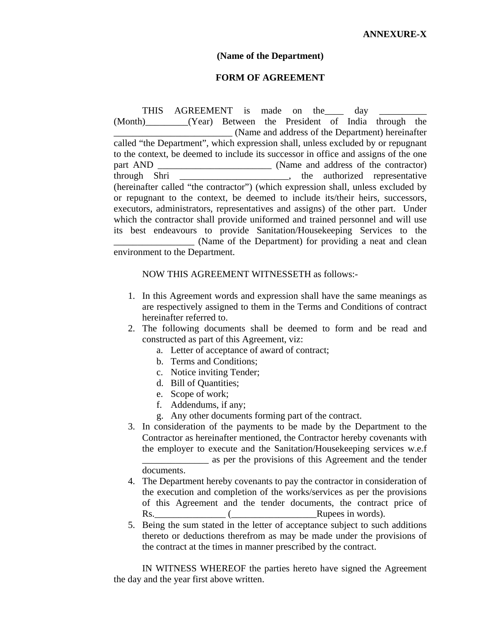#### **(Name of the Department)**

#### **FORM OF AGREEMENT**

THIS AGREEMENT is made on the \_\_\_\_\_\_\_\_\_ day (Month)\_\_\_\_\_\_\_\_\_(Year) Between the President of India through the \_\_\_\_\_\_\_\_\_\_\_\_\_\_\_\_\_\_\_\_\_\_\_\_\_ (Name and address of the Department) hereinafter called "the Department", which expression shall, unless excluded by or repugnant to the context, be deemed to include its successor in office and assigns of the one part AND \_\_\_\_\_\_\_\_\_\_\_\_\_\_\_\_\_\_\_\_\_\_\_\_\_\_\_\_\_\_\_ (Name and address of the contractor) through Shri  $\cdots$ , the authorized representative (hereinafter called "the contractor") (which expression shall, unless excluded by or repugnant to the context, be deemed to include its/their heirs, successors, executors, administrators, representatives and assigns) of the other part. Under which the contractor shall provide uniformed and trained personnel and will use its best endeavours to provide Sanitation/Housekeeping Services to the \_\_\_\_\_\_\_\_\_\_\_\_\_\_\_\_\_ (Name of the Department) for providing a neat and clean environment to the Department.

#### NOW THIS AGREEMENT WITNESSETH as follows:-

- 1. In this Agreement words and expression shall have the same meanings as are respectively assigned to them in the Terms and Conditions of contract hereinafter referred to.
- 2. The following documents shall be deemed to form and be read and constructed as part of this Agreement, viz:
	- a. Letter of acceptance of award of contract;
	- b. Terms and Conditions;
	- c. Notice inviting Tender;
	- d. Bill of Quantities;
	- e. Scope of work;
	- f. Addendums, if any;
	- g. Any other documents forming part of the contract.
- 3. In consideration of the payments to be made by the Department to the Contractor as hereinafter mentioned, the Contractor hereby covenants with the employer to execute and the Sanitation/Housekeeping services w.e.f \_\_\_\_\_\_\_\_\_\_\_\_\_\_ as per the provisions of this Agreement and the tender documents.
- 4. The Department hereby covenants to pay the contractor in consideration of the execution and completion of the works/services as per the provisions of this Agreement and the tender documents, the contract price of Rs.  $\qquad \qquad$  ( $\qquad \qquad$  Rupees in words).
- 5. Being the sum stated in the letter of acceptance subject to such additions thereto or deductions therefrom as may be made under the provisions of the contract at the times in manner prescribed by the contract.

IN WITNESS WHEREOF the parties hereto have signed the Agreement the day and the year first above written.